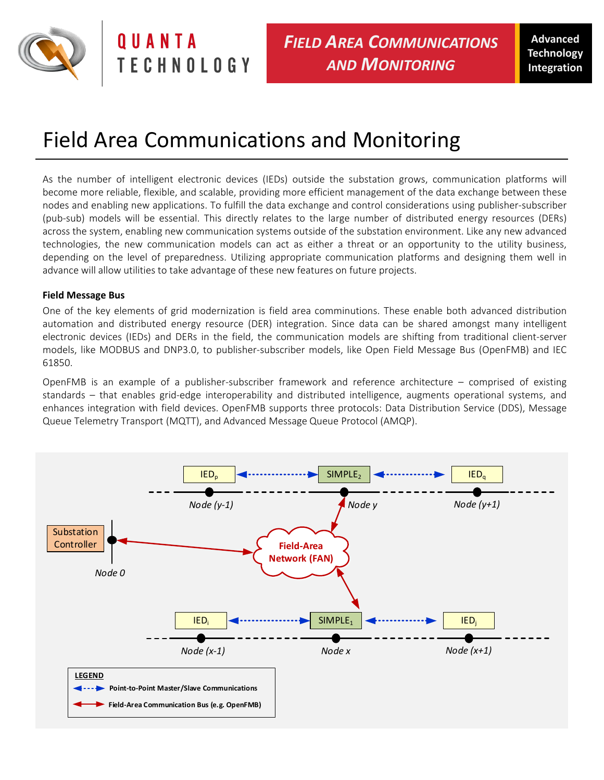

OUANTA **TECHNOLOGY** 

# Field Area Communications and Monitoring

As the number of intelligent electronic devices (IEDs) outside the substation grows, communication platforms will become more reliable, flexible, and scalable, providing more efficient management of the data exchange between these nodes and enabling new applications. To fulfill the data exchange and control considerations using publisher-subscriber (pub-sub) models will be essential. This directly relates to the large number of distributed energy resources (DERs) across the system, enabling new communication systems outside of the substation environment. Like any new advanced technologies, the new communication models can act as either a threat or an opportunity to the utility business, depending on the level of preparedness. Utilizing appropriate communication platforms and designing them well in advance will allow utilities to take advantage of these new features on future projects.

### **Field Message Bus**

One of the key elements of grid modernization is field area comminutions. These enable both advanced distribution automation and distributed energy resource (DER) integration. Since data can be shared amongst many intelligent electronic devices (IEDs) and DERs in the field, the communication models are shifting from traditional client-server models, like MODBUS and DNP3.0, to publisher-subscriber models, like Open Field Message Bus (OpenFMB) and IEC 61850.

OpenFMB is an example of a publisher-subscriber framework and reference architecture – comprised of existing standards – that enables grid-edge interoperability and distributed intelligence, augments operational systems, and enhances integration with field devices. OpenFMB supports three protocols: Data Distribution Service (DDS), Message Queue Telemetry Transport (MQTT), and Advanced Message Queue Protocol (AMQP).